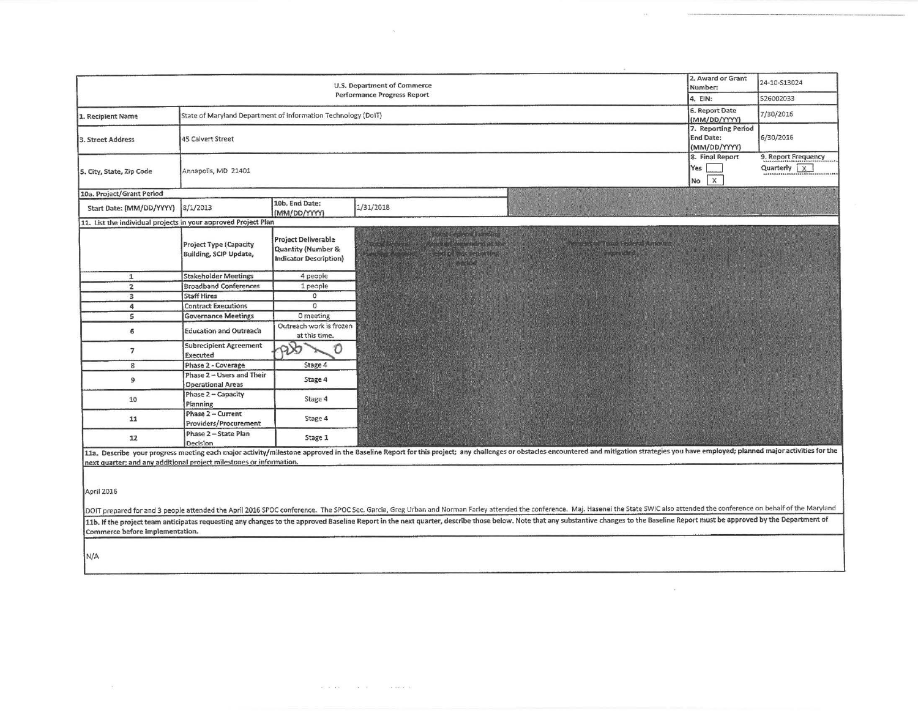|                                                                     |                                                               | 2. Award or Grant<br>Number:                                                      | 24-10-S13024                                                                                                                                                                                                                                                                                                                                                                                                                                                                                           |                                                                                                                                                                                                                                |                                                         |                                      |
|---------------------------------------------------------------------|---------------------------------------------------------------|-----------------------------------------------------------------------------------|--------------------------------------------------------------------------------------------------------------------------------------------------------------------------------------------------------------------------------------------------------------------------------------------------------------------------------------------------------------------------------------------------------------------------------------------------------------------------------------------------------|--------------------------------------------------------------------------------------------------------------------------------------------------------------------------------------------------------------------------------|---------------------------------------------------------|--------------------------------------|
| Performance Progress Report                                         |                                                               |                                                                                   |                                                                                                                                                                                                                                                                                                                                                                                                                                                                                                        |                                                                                                                                                                                                                                |                                                         | 526002033                            |
| 1. Recipient Name                                                   | State of Maryland Department of Information Technology (DoIT) |                                                                                   |                                                                                                                                                                                                                                                                                                                                                                                                                                                                                                        |                                                                                                                                                                                                                                | 6. Report Date<br>(MM/DD/YYYY)                          | 7/30/2016                            |
| 3. Street Address                                                   | 45 Calvert Street                                             |                                                                                   |                                                                                                                                                                                                                                                                                                                                                                                                                                                                                                        |                                                                                                                                                                                                                                | 7. Reporting Period<br><b>End Date:</b><br>(MM/DD/YYYY) | 6/30/2016                            |
| 5. City, State, Zip Code                                            | Annapolis, MD 21401                                           |                                                                                   |                                                                                                                                                                                                                                                                                                                                                                                                                                                                                                        |                                                                                                                                                                                                                                | 8. Final Report<br>Yes<br>$\overline{\mathbf{x}}$<br>No | 9. Report Frequency<br>Quarterly $x$ |
| 10a. Project/Grant Period                                           |                                                               |                                                                                   |                                                                                                                                                                                                                                                                                                                                                                                                                                                                                                        |                                                                                                                                                                                                                                |                                                         |                                      |
| Start Date: (MM/DD/YYYY)                                            | 8/1/2013                                                      | 10b. End Date:<br>(MM/DD/YYYY)                                                    | 1/31/2018                                                                                                                                                                                                                                                                                                                                                                                                                                                                                              |                                                                                                                                                                                                                                |                                                         |                                      |
| 11. List the individual projects in your approved Project Plan      |                                                               |                                                                                   |                                                                                                                                                                                                                                                                                                                                                                                                                                                                                                        |                                                                                                                                                                                                                                |                                                         |                                      |
|                                                                     | <b>Project Type (Capacity</b><br>Building, SCIP Update,       | <b>Project Deliverable</b><br>Quantity (Number &<br><b>Indicator Description)</b> | <b>Chemistry</b><br>e pomment commentant 10 meets at the<br>Rith Miller Mary 1<br>$\mathcal{L}_{\mathcal{A}}$ , $\mathcal{L}_{\mathcal{A}}$ , $\mathcal{L}_{\mathcal{A}}$ , $\mathcal{L}_{\mathcal{A}}$ , $\mathcal{L}_{\mathcal{A}}$ , $\mathcal{L}_{\mathcal{A}}$ , $\mathcal{L}_{\mathcal{A}}$ , $\mathcal{L}_{\mathcal{A}}$ , $\mathcal{L}_{\mathcal{A}}$ , $\mathcal{L}_{\mathcal{A}}$ , $\mathcal{L}_{\mathcal{A}}$ , $\mathcal{L}_{\mathcal{A}}$ , $\mathcal{L}_{\mathcal{A}}$ ,<br>any katalog | $\frac{1}{2}$ . The state of $\frac{1}{2}$ is the state of $\frac{1}{2}$ , $\frac{1}{2}$ , $\frac{1}{2}$ , $\frac{1}{2}$ , $\frac{1}{2}$ , $\frac{1}{2}$ , $\frac{1}{2}$<br>anal kasay dipu                                    |                                                         |                                      |
| $\mathbf{1}$                                                        | <b>Stakeholder Meetings</b>                                   | 4 people                                                                          |                                                                                                                                                                                                                                                                                                                                                                                                                                                                                                        |                                                                                                                                                                                                                                |                                                         |                                      |
| $\overline{2}$                                                      | <b>Broadband Conferences</b>                                  | 1 people                                                                          |                                                                                                                                                                                                                                                                                                                                                                                                                                                                                                        |                                                                                                                                                                                                                                |                                                         |                                      |
| $\overline{\mathbf{3}}$                                             | <b>Staff Hires</b>                                            | 0                                                                                 |                                                                                                                                                                                                                                                                                                                                                                                                                                                                                                        |                                                                                                                                                                                                                                |                                                         |                                      |
| 4                                                                   | <b>Contract Executions</b>                                    | $\mathbf 0$                                                                       |                                                                                                                                                                                                                                                                                                                                                                                                                                                                                                        |                                                                                                                                                                                                                                |                                                         |                                      |
| 5                                                                   | <b>Governance Meetings</b>                                    | 0 meeting                                                                         |                                                                                                                                                                                                                                                                                                                                                                                                                                                                                                        |                                                                                                                                                                                                                                |                                                         |                                      |
| 6                                                                   | <b>Education and Outreach</b>                                 | Outreach work is frozen<br>at this time.                                          |                                                                                                                                                                                                                                                                                                                                                                                                                                                                                                        |                                                                                                                                                                                                                                |                                                         |                                      |
| 7                                                                   | <b>Subrecipient Agreement</b><br>Executed                     | O                                                                                 |                                                                                                                                                                                                                                                                                                                                                                                                                                                                                                        |                                                                                                                                                                                                                                |                                                         |                                      |
| 8                                                                   | Phase 2 - Coverage                                            | Stage 4                                                                           |                                                                                                                                                                                                                                                                                                                                                                                                                                                                                                        |                                                                                                                                                                                                                                |                                                         |                                      |
| 9                                                                   | Phase 2 - Users and Their<br><b>Operational Areas</b>         | Stage 4                                                                           |                                                                                                                                                                                                                                                                                                                                                                                                                                                                                                        |                                                                                                                                                                                                                                |                                                         |                                      |
| 10                                                                  | Phase 2 - Capacity<br>Planning                                | Stage 4                                                                           |                                                                                                                                                                                                                                                                                                                                                                                                                                                                                                        |                                                                                                                                                                                                                                |                                                         |                                      |
| 11                                                                  | Phase 2 - Current<br>Providers/Procurement                    | Stage 4                                                                           |                                                                                                                                                                                                                                                                                                                                                                                                                                                                                                        |                                                                                                                                                                                                                                |                                                         |                                      |
| 12                                                                  | Phase 2-State Plan<br>Decision                                | Stage 1                                                                           |                                                                                                                                                                                                                                                                                                                                                                                                                                                                                                        |                                                                                                                                                                                                                                |                                                         |                                      |
|                                                                     |                                                               |                                                                                   |                                                                                                                                                                                                                                                                                                                                                                                                                                                                                                        | 11a. Describe your progress meeting each major activity/milestone approved in the Baseline Report for this project; any challenges or obstacles encountered and mitigation strategies you have employed; planned major activit |                                                         |                                      |
| next quarter; and any additional project milestones or information. |                                                               |                                                                                   |                                                                                                                                                                                                                                                                                                                                                                                                                                                                                                        |                                                                                                                                                                                                                                |                                                         |                                      |
|                                                                     |                                                               |                                                                                   |                                                                                                                                                                                                                                                                                                                                                                                                                                                                                                        |                                                                                                                                                                                                                                |                                                         |                                      |
|                                                                     |                                                               |                                                                                   |                                                                                                                                                                                                                                                                                                                                                                                                                                                                                                        |                                                                                                                                                                                                                                |                                                         |                                      |
|                                                                     |                                                               |                                                                                   |                                                                                                                                                                                                                                                                                                                                                                                                                                                                                                        | DOIT prepared for and 3 people attended the April 2016 SPOC conference. The SPOC Sec. Garcia, Greg Urban and Norman Farley attended the conference. Maj. Hasenei the State SWIC also attended the conference on behalf of the  |                                                         |                                      |
|                                                                     |                                                               |                                                                                   |                                                                                                                                                                                                                                                                                                                                                                                                                                                                                                        |                                                                                                                                                                                                                                |                                                         |                                      |
|                                                                     |                                                               |                                                                                   |                                                                                                                                                                                                                                                                                                                                                                                                                                                                                                        |                                                                                                                                                                                                                                |                                                         |                                      |
| April 2016<br>Commerce before implementation.                       |                                                               |                                                                                   |                                                                                                                                                                                                                                                                                                                                                                                                                                                                                                        | 11b. If the project team anticipates requesting any changes to the approved Baseline Report in the next quarter, describe those below. Note that any substantive changes to the Baseline Report must be approved by the Depart |                                                         |                                      |
|                                                                     |                                                               |                                                                                   |                                                                                                                                                                                                                                                                                                                                                                                                                                                                                                        |                                                                                                                                                                                                                                |                                                         |                                      |
| N/A                                                                 |                                                               |                                                                                   |                                                                                                                                                                                                                                                                                                                                                                                                                                                                                                        |                                                                                                                                                                                                                                |                                                         |                                      |

 $\sim$   $\sim$ 

 $\mathcal{O}(\mathcal{E})$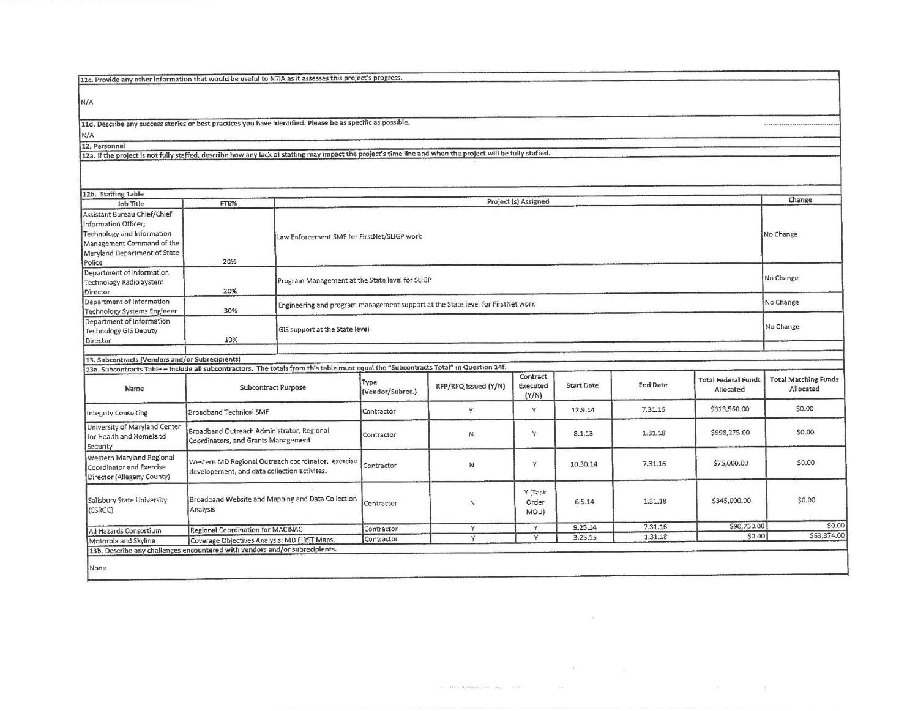| 11c. Provide any other information that would be useful to NTIA as it assesses this project's progress.                                                    |                                                                                   |                                                                                 |                          |                      |                               |                   |                 |                                         |                                          |  |
|------------------------------------------------------------------------------------------------------------------------------------------------------------|-----------------------------------------------------------------------------------|---------------------------------------------------------------------------------|--------------------------|----------------------|-------------------------------|-------------------|-----------------|-----------------------------------------|------------------------------------------|--|
|                                                                                                                                                            |                                                                                   |                                                                                 |                          |                      |                               |                   |                 |                                         |                                          |  |
| N/A                                                                                                                                                        |                                                                                   |                                                                                 |                          |                      |                               |                   |                 |                                         |                                          |  |
| 11d. Describe any success stories or best practices you have identified. Please be as specific as possible.                                                |                                                                                   |                                                                                 |                          |                      |                               |                   |                 |                                         |                                          |  |
| N/A                                                                                                                                                        |                                                                                   |                                                                                 |                          |                      |                               |                   |                 |                                         |                                          |  |
| 12. Personnel                                                                                                                                              |                                                                                   |                                                                                 |                          |                      |                               |                   |                 |                                         |                                          |  |
| 12a. If the project is not fully staffed, describe how any lack of staffing may impact the project's time line and when the project will be fully staffed. |                                                                                   |                                                                                 |                          |                      |                               |                   |                 |                                         |                                          |  |
|                                                                                                                                                            |                                                                                   |                                                                                 |                          |                      |                               |                   |                 |                                         |                                          |  |
| 12b. Staffing Table                                                                                                                                        |                                                                                   |                                                                                 |                          |                      |                               |                   |                 |                                         |                                          |  |
| Job Title                                                                                                                                                  | FTE%                                                                              |                                                                                 |                          |                      | Project (s) Assigned          |                   |                 |                                         | Change                                   |  |
| Assistant Bureau Chief/Chief                                                                                                                               |                                                                                   |                                                                                 |                          |                      |                               |                   |                 |                                         |                                          |  |
| Information Officer;                                                                                                                                       |                                                                                   |                                                                                 |                          |                      |                               |                   |                 |                                         |                                          |  |
| Technology and Information                                                                                                                                 |                                                                                   | Law Enforcement SME for FirstNet/SLIGP work                                     |                          |                      |                               |                   |                 |                                         | No Change                                |  |
| Management Command of the                                                                                                                                  |                                                                                   |                                                                                 |                          |                      |                               |                   |                 |                                         |                                          |  |
| Maryland Department of State                                                                                                                               |                                                                                   |                                                                                 |                          |                      |                               |                   |                 |                                         |                                          |  |
| Police                                                                                                                                                     | 20%                                                                               |                                                                                 |                          |                      |                               |                   |                 |                                         |                                          |  |
| Department of Information                                                                                                                                  |                                                                                   |                                                                                 |                          |                      |                               |                   |                 |                                         |                                          |  |
| Technology Radio System                                                                                                                                    |                                                                                   | Program Management at the State level for SLIGP                                 |                          |                      |                               |                   |                 |                                         | No Change                                |  |
| Director                                                                                                                                                   | 20%                                                                               |                                                                                 |                          |                      |                               |                   |                 |                                         |                                          |  |
| Department of Information                                                                                                                                  |                                                                                   |                                                                                 |                          |                      |                               |                   |                 |                                         | No Change                                |  |
| Technology Systems Engineer                                                                                                                                | 30%                                                                               | Engineering and program management support at the State level for FirstNet work |                          |                      |                               |                   |                 |                                         |                                          |  |
| Department of Information                                                                                                                                  |                                                                                   |                                                                                 |                          |                      |                               |                   |                 |                                         |                                          |  |
| <b>Technology GIS Deputy</b>                                                                                                                               |                                                                                   | GIS support at the State level                                                  |                          |                      |                               |                   |                 |                                         | No Change                                |  |
| Director                                                                                                                                                   | 10%                                                                               |                                                                                 |                          |                      |                               |                   |                 |                                         |                                          |  |
|                                                                                                                                                            |                                                                                   |                                                                                 |                          |                      |                               |                   |                 |                                         |                                          |  |
| 13. Subcontracts (Vendors and/or Subrecipients)                                                                                                            |                                                                                   |                                                                                 |                          |                      |                               |                   |                 |                                         |                                          |  |
| 13a. Subcontracts Table - include all subcontractors. The totals from this table must equal the "Subcontracts Total" in Question 14f.                      |                                                                                   |                                                                                 |                          |                      |                               |                   |                 |                                         |                                          |  |
| Name                                                                                                                                                       | <b>Subcontract Purpose</b>                                                        |                                                                                 | Type<br>(Vendor/Subrec.) | RFP/RFQ Issued (Y/N) | Contract<br>Executed<br>(Y/N) | <b>Start Date</b> | <b>End Date</b> | <b>Total Federal Funds</b><br>Allocated | <b>Total Matching Funds</b><br>Allocated |  |
| <b>Integrity Consulting</b>                                                                                                                                | Broadband Technical SME                                                           |                                                                                 | Contractor               | Y                    | Y                             | 12.9.14           | 7.31.16         | \$313,560.00                            | \$0.00                                   |  |
| University of Maryland Center<br>for Health and Homeland                                                                                                   | Broadband Outreach Administrator, Regional                                        |                                                                                 | Contractor               | N                    | Y                             | 8.1.13            | 1.31.18         | \$998,275.00                            | \$0.00                                   |  |
|                                                                                                                                                            | Coordinators, and Grants Management                                               |                                                                                 |                          |                      |                               |                   |                 |                                         |                                          |  |
| Security<br>Western Maryland Regional<br>Coordinator and Exercise<br>Director (Allegany County)                                                            | developement, and data collection activites.                                      | Western MD Regional Outreach coordinator, exercise                              | Contractor               | И                    | Y                             | 10.30.14          | 7.31.16         | \$75,000.00                             | \$0.00                                   |  |
| Salisbury State University<br>(ESRGC)                                                                                                                      | Broadband Website and Mapping and Data Collection<br>Analysis                     |                                                                                 | Contractor               | N                    | Y (Task<br>Order<br>MOU)      | 6.5.14            | 1.31.18         | \$345,000.00                            | \$0.00                                   |  |
|                                                                                                                                                            |                                                                                   |                                                                                 |                          | Y                    | Y                             | 9.25.14           | 7.31.16         | \$90,750.00                             |                                          |  |
| All Hazards Consortium<br>Motorola and Skyline                                                                                                             | Regional Coordination for MACINAC<br>Coverage Objectives Analysis: MD FIRST Maps, |                                                                                 | Contractor<br>Contractor | $\overline{Y}$       | Y                             | 3.25.15           | 1.31.18         | \$0.00                                  | \$0.00<br>\$63,374.0                     |  |

 $\mathbf{e}^{\prime}$  and  $\mathbf{e}^{\prime}$  and  $\mathbf{e}^{\prime}$  and  $\mathbf{e}^{\prime}$  $\label{eq:1.1} \frac{1}{2} \left( \begin{array}{ccccc} \frac{1}{2} & \frac{1}{2} & \frac{1}{2} & \frac{1}{2} & \frac{1}{2} & \frac{1}{2} & \frac{1}{2} & \frac{1}{2} & \frac{1}{2} & \frac{1}{2} & \frac{1}{2} & \frac{1}{2} & \frac{1}{2} & \frac{1}{2} & \frac{1}{2} & \frac{1}{2} & \frac{1}{2} & \frac{1}{2} & \frac{1}{2} & \frac{1}{2} & \frac{1}{2} & \frac{1}{2} & \frac{1}{2} & \frac{1}{2} & \$